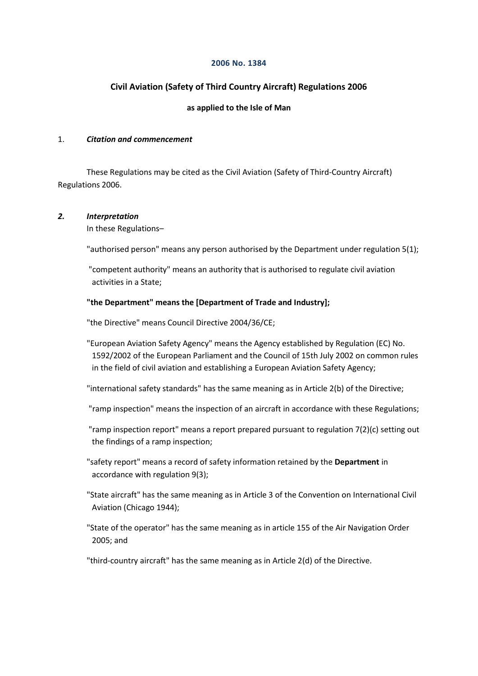#### **2006 No. 1384**

## **Civil Aviation (Safety of Third Country Aircraft) Regulations 2006**

## **as applied to the Isle of Man**

#### 1. *Citation and commencement*

These Regulations may be cited as the Civil Aviation (Safety of Third-Country Aircraft) Regulations 2006.

### *2. Interpretation*

In these Regulations–

"authorised person" means any person authorised by the Department under regulation 5(1);

"competent authority" means an authority that is authorised to regulate civil aviation activities in a State;

### **"the Department" means the [Department of Trade and Industry];**

"the Directive" means Council Directive 2004/36/CE;

"European Aviation Safety Agency" means the Agency established by Regulation (EC) No. 1592/2002 of the European Parliament and the Council of 15th July 2002 on common rules in the field of civil aviation and establishing a European Aviation Safety Agency;

"international safety standards" has the same meaning as in Article 2(b) of the Directive;

"ramp inspection" means the inspection of an aircraft in accordance with these Regulations;

"ramp inspection report" means a report prepared pursuant to regulation 7(2)(c) setting out the findings of a ramp inspection;

"safety report" means a record of safety information retained by the **Department** in accordance with regulation 9(3);

"State aircraft" has the same meaning as in Article 3 of the Convention on International Civil Aviation (Chicago 1944);

"State of the operator" has the same meaning as in article 155 of the Air Navigation Order 2005; and

"third-country aircraft" has the same meaning as in Article 2(d) of the Directive.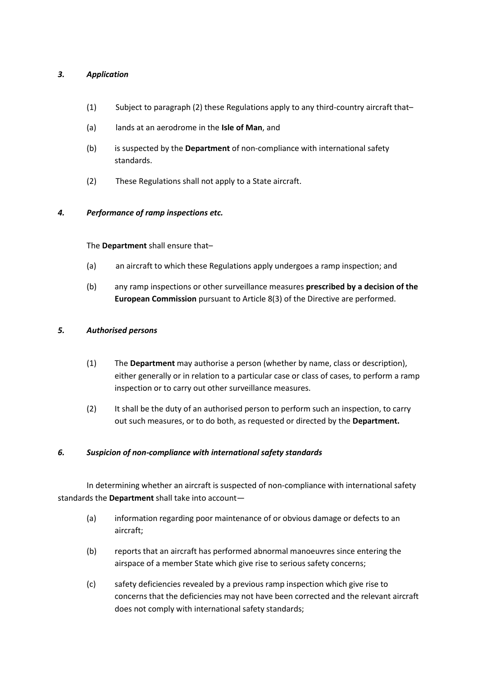## *3. Application*

- (1) Subject to paragraph (2) these Regulations apply to any third-country aircraft that–
- (a) lands at an aerodrome in the **Isle of Man**, and
- (b) is suspected by the **Department** of non-compliance with international safety standards.
- (2) These Regulations shall not apply to a State aircraft.

## *4. Performance of ramp inspections etc.*

The **Department** shall ensure that–

- (a) an aircraft to which these Regulations apply undergoes a ramp inspection; and
- (b) any ramp inspections or other surveillance measures **prescribed by a decision of the European Commission** pursuant to Article 8(3) of the Directive are performed.

## *5. Authorised persons*

- (1) The **Department** may authorise a person (whether by name, class or description), either generally or in relation to a particular case or class of cases, to perform a ramp inspection or to carry out other surveillance measures.
- (2) It shall be the duty of an authorised person to perform such an inspection, to carry out such measures, or to do both, as requested or directed by the **Department.**

### *6. Suspicion of non-compliance with international safety standards*

In determining whether an aircraft is suspected of non-compliance with international safety standards the **Department** shall take into account—

- (a) information regarding poor maintenance of or obvious damage or defects to an aircraft;
- (b) reports that an aircraft has performed abnormal manoeuvres since entering the airspace of a member State which give rise to serious safety concerns;
- (c) safety deficiencies revealed by a previous ramp inspection which give rise to concerns that the deficiencies may not have been corrected and the relevant aircraft does not comply with international safety standards;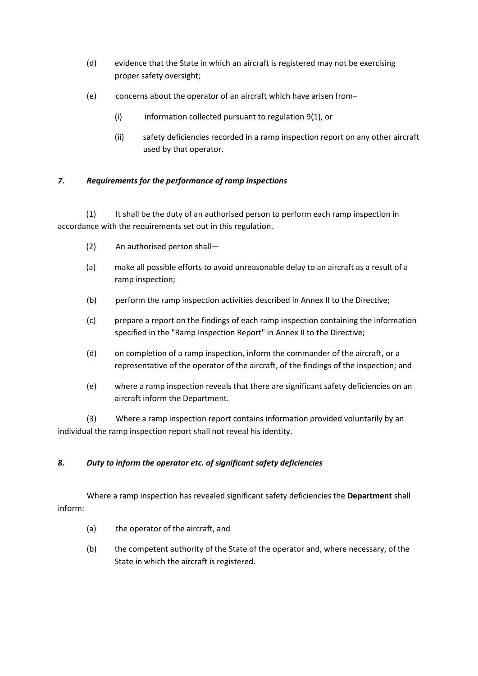- (d) evidence that the State in which an aircraft is registered may not be exercising proper safety oversight;
- (e) concerns about the operator of an aircraft which have arisen from–
	- (i) information collected pursuant to regulation 9(1), or
	- (ii) safety deficiencies recorded in a ramp inspection report on any other aircraft used by that operator.

## *7. Requirements for the performance of ramp inspections*

(1) It shall be the duty of an authorised person to perform each ramp inspection in accordance with the requirements set out in this regulation.

- (2) An authorised person shall—
- (a) make all possible efforts to avoid unreasonable delay to an aircraft as a result of a ramp inspection;
- (b) perform the ramp inspection activities described in Annex II to the Directive;
- (c) prepare a report on the findings of each ramp inspection containing the information specified in the "Ramp Inspection Report" in Annex II to the Directive;
- (d) on completion of a ramp inspection, inform the commander of the aircraft, or a representative of the operator of the aircraft, of the findings of the inspection; and
- (e) where a ramp inspection reveals that there are significant safety deficiencies on an aircraft inform the Department.

(3) Where a ramp inspection report contains information provided voluntarily by an individual the ramp inspection report shall not reveal his identity.

# *8. Duty to inform the operator etc. of significant safety deficiencies*

Where a ramp inspection has revealed significant safety deficiencies the **Department** shall inform:

- (a) the operator of the aircraft, and
- (b) the competent authority of the State of the operator and, where necessary, of the State in which the aircraft is registered.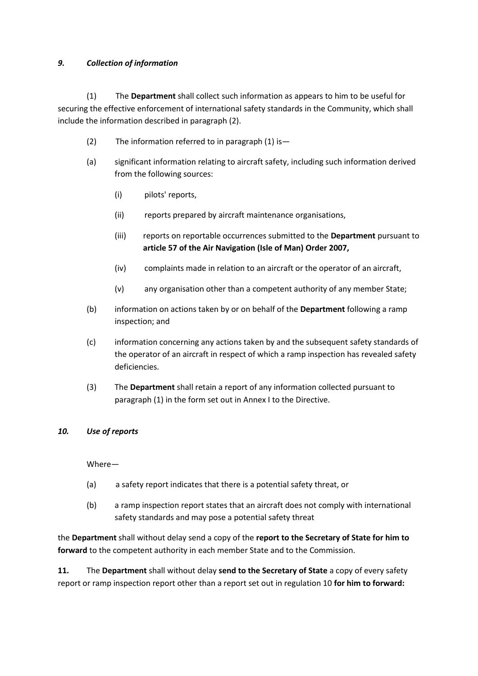## *9. Collection of information*

(1) The **Department** shall collect such information as appears to him to be useful for securing the effective enforcement of international safety standards in the Community, which shall include the information described in paragraph (2).

- (2) The information referred to in paragraph  $(1)$  is -
- (a) significant information relating to aircraft safety, including such information derived from the following sources:
	- (i) pilots' reports,
	- (ii) reports prepared by aircraft maintenance organisations,
	- (iii) reports on reportable occurrences submitted to the **Department** pursuant to **article 57 of the Air Navigation (Isle of Man) Order 2007,**
	- (iv) complaints made in relation to an aircraft or the operator of an aircraft,
	- (v) any organisation other than a competent authority of any member State;
- (b) information on actions taken by or on behalf of the **Department** following a ramp inspection; and
- (c) information concerning any actions taken by and the subsequent safety standards of the operator of an aircraft in respect of which a ramp inspection has revealed safety deficiencies.
- (3) The **Department** shall retain a report of any information collected pursuant to paragraph (1) in the form set out in Annex I to the Directive.

## *10. Use of reports*

Where—

- (a) a safety report indicates that there is a potential safety threat, or
- (b) a ramp inspection report states that an aircraft does not comply with international safety standards and may pose a potential safety threat

the **Department** shall without delay send a copy of the **report to the Secretary of State for him to forward** to the competent authority in each member State and to the Commission.

**11.** The **Department** shall without delay **send to the Secretary of State** a copy of every safety report or ramp inspection report other than a report set out in regulation 10 **for him to forward:**